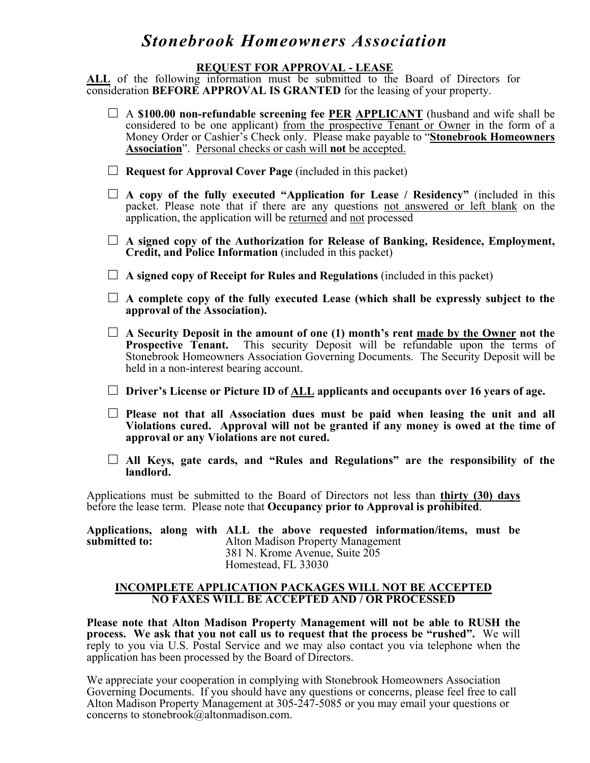#### **REQUEST FOR APPROVAL - LEASE**

**ALL** of the following information must be submitted to the Board of Directors for consideration **BEFORE APPROVAL IS GRANTED** for the leasing of your property.

| $\Box$ A \$100.00 non-refundable screening fee <u>PER APPLICANT</u> (husband and wife shall be<br>considered to be one applicant) from the prospective Tenant or Owner in the form of a<br>Money Order or Cashier's Check only. Please make payable to "Stonebrook Homeowners<br><b>Association</b> ". Personal checks or cash will not be accepted. |  |
|------------------------------------------------------------------------------------------------------------------------------------------------------------------------------------------------------------------------------------------------------------------------------------------------------------------------------------------------------|--|
| <b>Request for Approval Cover Page (included in this packet)</b>                                                                                                                                                                                                                                                                                     |  |
| A copy of the fully executed "Application for Lease / Residency" (included in this<br>packet. Please note that if there are any questions not answered or left blank on the<br>application, the application will be returned and not processed                                                                                                       |  |
| A signed copy of the Authorization for Release of Banking, Residence, Employment,<br>Credit, and Police Information (included in this packet)                                                                                                                                                                                                        |  |
| A signed copy of Receipt for Rules and Regulations (included in this packet)                                                                                                                                                                                                                                                                         |  |
| A complete copy of the fully executed Lease (which shall be expressly subject to the<br>approval of the Association).                                                                                                                                                                                                                                |  |
| A Security Deposit in the amount of one (1) month's rent made by the Owner not the<br>Prospective Tenant. This security Deposit will be refundable upon the terms of<br>Stonebrook Homeowners Association Governing Documents. The Security Deposit will be<br>held in a non-interest bearing account.                                               |  |
| Driver's License or Picture ID of ALL applicants and occupants over 16 years of age.                                                                                                                                                                                                                                                                 |  |
| Please not that all Association dues must be paid when leasing the unit and all<br>Violations cured. Approval will not be granted if any money is owed at the time of<br>approval or any Violations are not cured.                                                                                                                                   |  |
| All Keys, gate cards, and "Rules and Regulations" are the responsibility of the<br>landlord.                                                                                                                                                                                                                                                         |  |
| Applications must be submitted to the Board of Directors not less than thirty (30) days                                                                                                                                                                                                                                                              |  |

before the lease term. Please note that **Occupancy prior to Approval is prohibited**.

**Applications, along with ALL the above requested information/items, must be submitted to:** Alton Madison Property Management 381 N. Krome Avenue, Suite 205 Homestead, FL 33030

#### **INCOMPLETE APPLICATION PACKAGES WILL NOT BE ACCEPTED NO FAXES WILL BE ACCEPTED AND / OR PROCESSED**

**Please note that Alton Madison Property Management will not be able to RUSH the process. We ask that you not call us to request that the process be "rushed".** We will reply to you via U.S. Postal Service and we may also contact you via telephone when the application has been processed by the Board of Directors.

We appreciate your cooperation in complying with Stonebrook Homeowners Association Governing Documents. If you should have any questions or concerns, please feel free to call Alton Madison Property Management at 305-247-5085 or you may email your questions or concerns to stonebrook@altonmadison.com.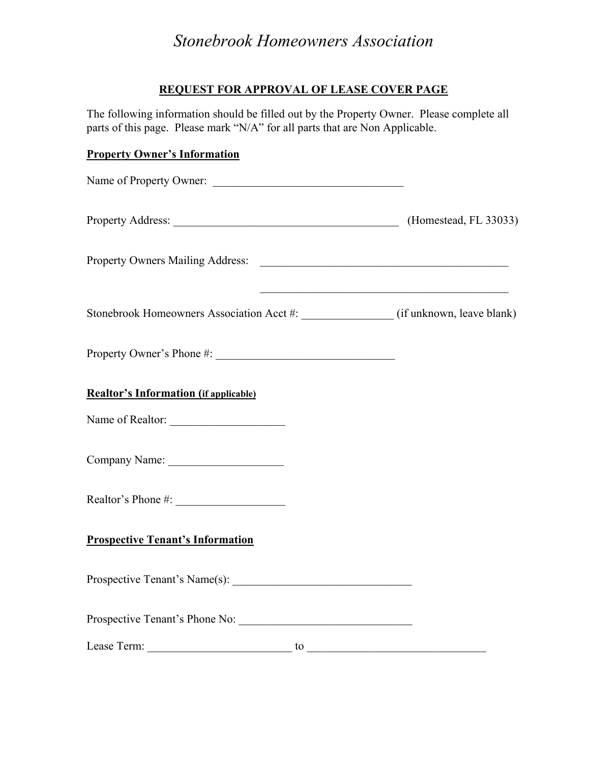### **REQUEST FOR APPROVAL OF LEASE COVER PAGE**

The following information should be filled out by the Property Owner. Please complete all parts of this page. Please mark "N/A" for all parts that are Non Applicable.

### **Property Owner's Information**

| Name of Property Owner:                                                             |                                                                   |
|-------------------------------------------------------------------------------------|-------------------------------------------------------------------|
|                                                                                     |                                                                   |
|                                                                                     |                                                                   |
| Stonebrook Homeowners Association Acct #: _______________ (if unknown, leave blank) | <u> 1989 - Johann Barbara, margaret eta idazlearia (h. 1989).</u> |
|                                                                                     |                                                                   |
| <b>Realtor's Information (if applicable)</b>                                        |                                                                   |
| Name of Realtor:                                                                    |                                                                   |
|                                                                                     |                                                                   |
|                                                                                     |                                                                   |
| <b>Prospective Tenant's Information</b>                                             |                                                                   |
|                                                                                     |                                                                   |
| Prospective Tenant's Phone No:                                                      |                                                                   |
| Lease Term:<br>to                                                                   |                                                                   |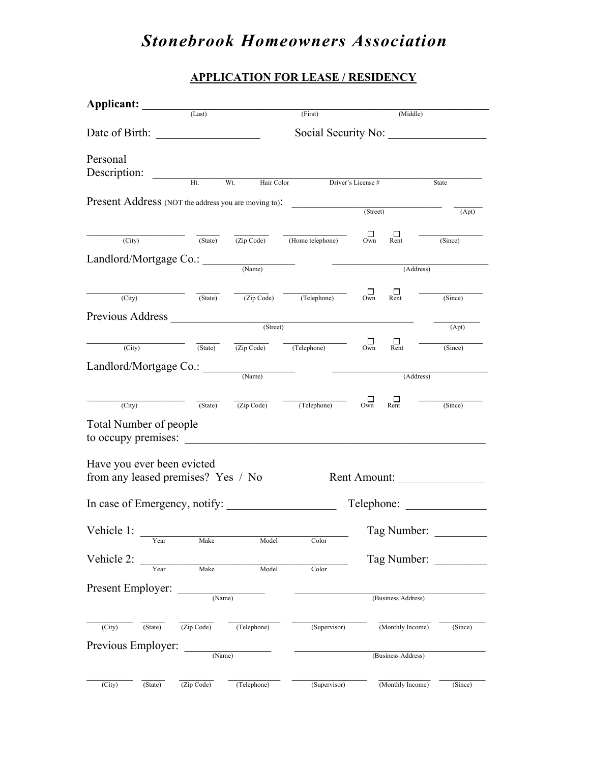### **APPLICATION FOR LEASE / RESIDENCY**

| <b>Applicant:</b>                                    |         | (Last)              |                   | (First)                                                                                                        |               | (Middle)                     |                             |
|------------------------------------------------------|---------|---------------------|-------------------|----------------------------------------------------------------------------------------------------------------|---------------|------------------------------|-----------------------------|
|                                                      |         |                     |                   |                                                                                                                |               |                              |                             |
|                                                      |         | Social Security No: |                   |                                                                                                                |               |                              |                             |
| Personal                                             |         |                     |                   |                                                                                                                |               |                              |                             |
| Description:                                         |         |                     |                   |                                                                                                                |               |                              |                             |
|                                                      |         | Ht                  | Wt.<br>Hair Color | Driver's License #                                                                                             |               |                              | State                       |
| Present Address (NOT the address you are moving to): |         |                     |                   | (Street)                                                                                                       |               |                              |                             |
|                                                      |         |                     |                   |                                                                                                                |               |                              | (Apt)                       |
| (City)                                               |         | $\sqrt{(State)}$    |                   | $\overline{(Zip Code)}$ (Home telephone)                                                                       | $\Box$<br>Own | Ш<br>Rent                    | (Since)                     |
|                                                      |         |                     |                   |                                                                                                                |               |                              |                             |
| Landlord/Mortgage Co.:                               |         |                     | (Name)            |                                                                                                                |               | (Address)                    |                             |
|                                                      |         |                     |                   |                                                                                                                |               |                              |                             |
| (City)                                               |         |                     |                   | $\sqrt{(State)}$ $\sqrt{(Zip Code)}$ $\sqrt{(Telephone)}$                                                      | $\Box$        | $\Box$ Rent                  | (Since)                     |
| Previous Address                                     |         |                     |                   |                                                                                                                |               |                              |                             |
|                                                      |         |                     |                   | (Street)                                                                                                       |               |                              | (Apt)                       |
| (City)                                               |         |                     |                   | $\overline{(State)}$ $\overline{(Zip Code)}$ $\overline{(Telephone)}$                                          | $\Box$        | $\prod_{\text{Rent}}$        | (since)                     |
|                                                      |         |                     |                   |                                                                                                                |               |                              |                             |
| Landlord/Mortgage Co.:                               |         |                     |                   | (Name)                                                                                                         |               | (Address)                    |                             |
|                                                      |         |                     |                   |                                                                                                                |               |                              |                             |
| (City)                                               |         |                     |                   | $\frac{1}{\text{(State)}}$ $\frac{1}{\text{(Zip Code)}}$ $\frac{1}{\text{(Telephone)}}$ $\frac{1}{\text{Own}}$ |               | $\frac{\Box}{\mathrm{Rent}}$ | $\overline{\text{(Since)}}$ |
| <b>Total Number of people</b>                        |         |                     |                   |                                                                                                                |               |                              |                             |
| to occupy premises:                                  |         |                     |                   |                                                                                                                |               |                              |                             |
|                                                      |         |                     |                   |                                                                                                                |               |                              |                             |
| Have you ever been evicted                           |         |                     |                   |                                                                                                                |               |                              |                             |
| from any leased premises? Yes / No                   |         |                     |                   |                                                                                                                |               | Rent Amount:                 |                             |
| In case of Emergency, notify:                        |         |                     |                   |                                                                                                                |               | Telephone:                   |                             |
|                                                      |         |                     |                   |                                                                                                                |               |                              |                             |
| Vehicle 1:                                           |         |                     |                   |                                                                                                                |               | Tag Number:                  |                             |
|                                                      | Year    | Make                | Model             | Color                                                                                                          |               |                              |                             |
| Vehicle 2:                                           |         |                     |                   |                                                                                                                |               | Tag Number:                  |                             |
|                                                      | Year    | Make                | Model             | Color                                                                                                          |               |                              |                             |
| Present Employer:                                    |         | (Name)              |                   |                                                                                                                |               | (Business Address)           |                             |
|                                                      |         |                     |                   |                                                                                                                |               |                              |                             |
| $\overline{(City)}$                                  | (State) | (Zip Code)          | (Telephone)       | (Supervisor)                                                                                                   |               | (Monthly Income)             | (Since)                     |
|                                                      |         |                     |                   |                                                                                                                |               |                              |                             |
| Previous Employer:                                   |         | (Name)              |                   |                                                                                                                |               | (Business Address)           |                             |
|                                                      |         |                     |                   |                                                                                                                |               |                              |                             |
| (City)                                               | (State) | (Zip Code)          | (Telephone)       | (Supervisor)                                                                                                   |               | (Monthly Income)             | (Since)                     |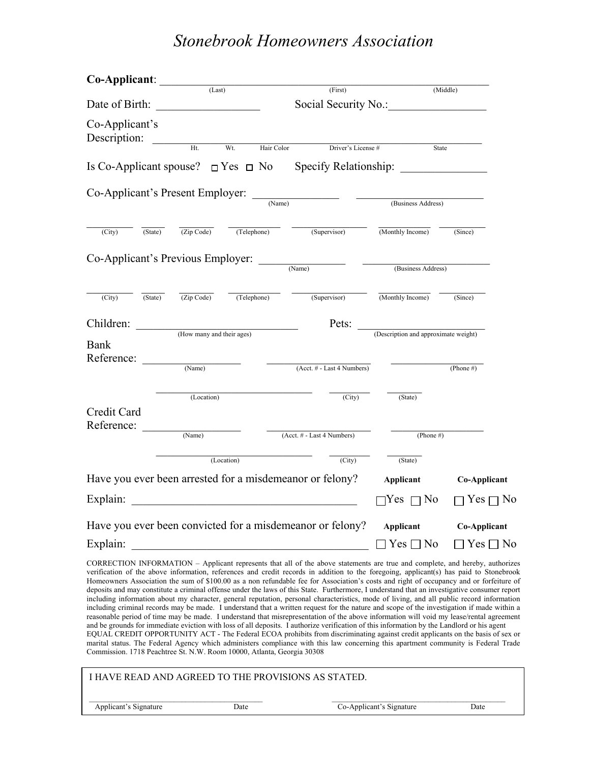| Co-Applicant:                                |         | (Last)                                |                            |                                                                                                                                                                                                                                                                                                                                                                                                                                                                                                                                                                  |                                      |                      |
|----------------------------------------------|---------|---------------------------------------|----------------------------|------------------------------------------------------------------------------------------------------------------------------------------------------------------------------------------------------------------------------------------------------------------------------------------------------------------------------------------------------------------------------------------------------------------------------------------------------------------------------------------------------------------------------------------------------------------|--------------------------------------|----------------------|
|                                              |         | (First)                               |                            |                                                                                                                                                                                                                                                                                                                                                                                                                                                                                                                                                                  |                                      | (Middle)             |
| Date of Birth:                               |         | <u> 1990 - Johann Barbara, martxa</u> |                            | Social Security No.:                                                                                                                                                                                                                                                                                                                                                                                                                                                                                                                                             |                                      |                      |
| Co-Applicant's<br>Description:               |         | Ht.                                   | Wt.<br>Hair Color          | Driver's License #                                                                                                                                                                                                                                                                                                                                                                                                                                                                                                                                               | State                                |                      |
|                                              |         |                                       |                            | Is Co-Applicant spouse? $\Box$ Yes $\Box$ No Specify Relationship:                                                                                                                                                                                                                                                                                                                                                                                                                                                                                               |                                      |                      |
|                                              |         |                                       |                            |                                                                                                                                                                                                                                                                                                                                                                                                                                                                                                                                                                  |                                      |                      |
|                                              |         | Co-Applicant's Present Employer:      |                            | (Name)                                                                                                                                                                                                                                                                                                                                                                                                                                                                                                                                                           |                                      |                      |
|                                              |         |                                       |                            |                                                                                                                                                                                                                                                                                                                                                                                                                                                                                                                                                                  | (Business Address)                   |                      |
| (City)                                       | (State) | $\overline{(Zip Code)}$               | (Telephone)                | (Supervisor)                                                                                                                                                                                                                                                                                                                                                                                                                                                                                                                                                     | (Monthly Income)                     | (Since)              |
|                                              |         |                                       |                            |                                                                                                                                                                                                                                                                                                                                                                                                                                                                                                                                                                  |                                      |                      |
| $Co-Application's Previous Employee:$ (Name) |         |                                       |                            |                                                                                                                                                                                                                                                                                                                                                                                                                                                                                                                                                                  | (Business Address)                   |                      |
| (City)                                       | (State) | $\overline{(Zip Code)}$               | (Telephone)                | (Supervisor)                                                                                                                                                                                                                                                                                                                                                                                                                                                                                                                                                     | (Monthly Income)                     | (Since)              |
| Children:                                    |         |                                       | (How many and their ages)  | Pets:                                                                                                                                                                                                                                                                                                                                                                                                                                                                                                                                                            | (Description and approximate weight) |                      |
| <b>Bank</b>                                  |         |                                       |                            |                                                                                                                                                                                                                                                                                                                                                                                                                                                                                                                                                                  |                                      |                      |
| Reference:                                   |         | (Name)                                |                            | (Acct. # - Last 4 Numbers)                                                                                                                                                                                                                                                                                                                                                                                                                                                                                                                                       |                                      | (Phone #)            |
|                                              |         | (Location)                            |                            | (City)                                                                                                                                                                                                                                                                                                                                                                                                                                                                                                                                                           | (State)                              |                      |
| Credit Card<br>Reference:                    |         |                                       |                            |                                                                                                                                                                                                                                                                                                                                                                                                                                                                                                                                                                  |                                      |                      |
| (Name)                                       |         |                                       | (Acct. # - Last 4 Numbers) | (Phone $#$ )                                                                                                                                                                                                                                                                                                                                                                                                                                                                                                                                                     |                                      |                      |
|                                              |         |                                       | (Location)                 | (City)                                                                                                                                                                                                                                                                                                                                                                                                                                                                                                                                                           | (State)                              |                      |
|                                              |         |                                       |                            | Have you ever been arrested for a misdemeanor or felony?                                                                                                                                                                                                                                                                                                                                                                                                                                                                                                         | Applicant                            | Co-Applicant         |
| Explain:                                     |         |                                       |                            |                                                                                                                                                                                                                                                                                                                                                                                                                                                                                                                                                                  | Yes $\Box$ No                        | $Yes \sqcap No$      |
|                                              |         |                                       |                            | Have you ever been convicted for a misdemeanor or felony?                                                                                                                                                                                                                                                                                                                                                                                                                                                                                                        | <b>Applicant</b>                     | <b>Co-Applicant</b>  |
| Explain:                                     |         |                                       |                            |                                                                                                                                                                                                                                                                                                                                                                                                                                                                                                                                                                  | $\Box$ Yes $\Box$ No                 | $\Box$ Yes $\Box$ No |
|                                              |         |                                       |                            | CORRECTION INFORMATION - Applicant represents that all of the above statements are true and complete, and hereby, authorizes<br>verification of the above information, references and credit records in addition to the foregoing, applicant(s) has paid to Stonebrook<br>Homeowners Association the sum of \$100.00 as a non refundable fee for Association's costs and right of occupancy and or forfeiture of<br>deposits and may constitute a criminal offense under the laws of this State. Furthermore, I understand that an investigative consumer report |                                      |                      |

including information about my character, general reputation, personal characteristics, mode of living, and all public record information including criminal records may be made. I understand that a written request for the nature and scope of the investigation if made within a reasonable period of time may be made. I understand that misrepresentation of the above information will void my lease/rental agreement and be grounds for immediate eviction with loss of all deposits. I authorize verification of this information by the Landlord or his agent EQUAL CREDIT OPPORTUNITY ACT - The Federal ECOA prohibits from discriminating against credit applicants on the basis of sex or marital status. The Federal Agency which administers compliance with this law concerning this apartment community is Federal Trade Commission. 1718 Peachtree St. N.W. Room 10000, Atlanta, Georgia 30308

| I HAVE READ AND AGREED TO THE PROVISIONS AS STATED. |      |                          |      |  |  |  |
|-----------------------------------------------------|------|--------------------------|------|--|--|--|
| Applicant's Signature                               | Date | Co-Applicant's Signature | Date |  |  |  |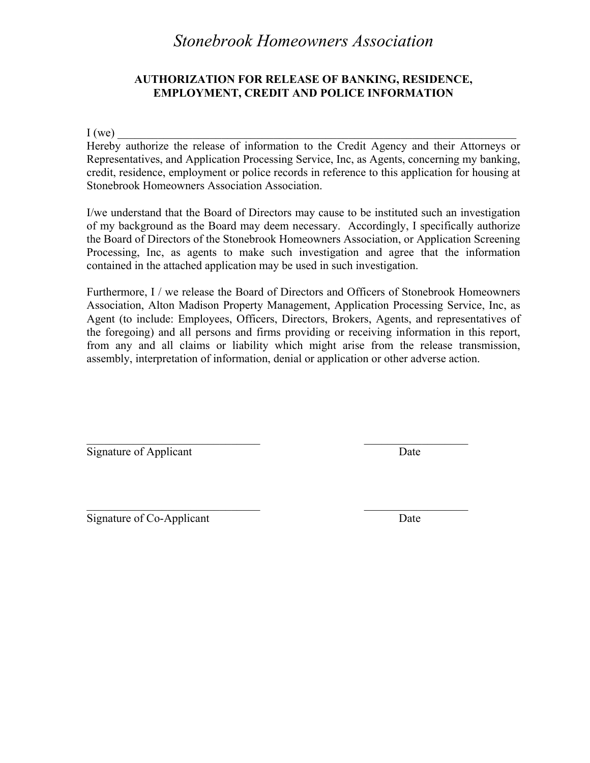### **AUTHORIZATION FOR RELEASE OF BANKING, RESIDENCE, EMPLOYMENT, CREDIT AND POLICE INFORMATION**

 $I(we)$ 

Hereby authorize the release of information to the Credit Agency and their Attorneys or Representatives, and Application Processing Service, Inc, as Agents, concerning my banking, credit, residence, employment or police records in reference to this application for housing at Stonebrook Homeowners Association Association.

I/we understand that the Board of Directors may cause to be instituted such an investigation of my background as the Board may deem necessary. Accordingly, I specifically authorize the Board of Directors of the Stonebrook Homeowners Association, or Application Screening Processing, Inc, as agents to make such investigation and agree that the information contained in the attached application may be used in such investigation.

Furthermore, I / we release the Board of Directors and Officers of Stonebrook Homeowners Association, Alton Madison Property Management, Application Processing Service, Inc, as Agent (to include: Employees, Officers, Directors, Brokers, Agents, and representatives of the foregoing) and all persons and firms providing or receiving information in this report, from any and all claims or liability which might arise from the release transmission, assembly, interpretation of information, denial or application or other adverse action.

 $\mathcal{L}_\text{max}$  , and the contract of the contract of the contract of the contract of the contract of the contract of the contract of the contract of the contract of the contract of the contract of the contract of the contr

Signature of Applicant Date

 $\mathcal{L}_\text{max}$  , and the contract of the contract of the contract of the contract of the contract of the contract of the contract of the contract of the contract of the contract of the contract of the contract of the contr Signature of Co-Applicant Date